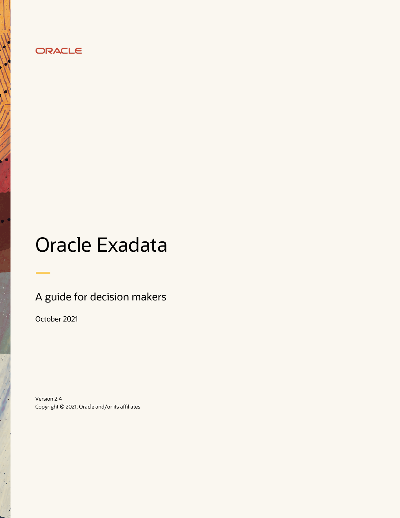# ORACLE

# Oracle Exadata

# A guide for decision makers

October 2021

Version 2.4 Copyright © 2021, Oracle and/or its affiliates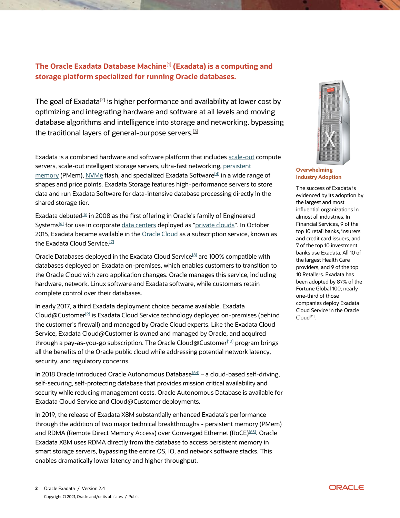# **The Oracle Exadata Database Machine**[\[1\]](#page-13-0) **(Exadata) is a computing and storage platform specialized for running [Oracle databases.](https://en.wikipedia.org/wiki/Oracle_Database)**

The goal of Exadata<sup>[\[2\]](#page-13-0)</sup> is higher performance and availability at lower cost by optimizing and integrating hardware and software at all levels and moving database algorithms and intelligence into storage and networking, bypassing the traditional layers of general-purpose servers.<sup>[\[3\]](#page-13-0)</sup>

Exadata is a combined hardware and software platform that includes [scale-out](https://en.wikipedia.org/wiki/Scale_out) compute servers, scale-out intelligent storage servers, ultra-fast networking, [persistent](https://en.wikipedia.org/wiki/3D_XPoint)  [memory](https://en.wikipedia.org/wiki/3D_XPoint) (PMem), [NVMe](https://en.wikipedia.org/wiki/NVM_Express) flash, and specialized Exadata Software<sup>[\[4\]](#page-13-0)</sup> in a wide range of shapes and price points. Exadata Storage features high-performance servers to store data and run Exadata Software for data-intensive database processing directly in the shared storage tier.

Exadata debuted<sup>[\[5\]](#page-13-0)</sup> in 2008 as the first offering in Oracle's family of Engineered Systems<sup>[\[6\]](#page-13-0)</sup> for use in corporate [data centers](https://en.wikipedia.org/wiki/Data_center) deployed as ["private clouds"](https://en.wikipedia.org/wiki/Private_Cloud). In October 2015, Exadata became available in the [Oracle Cloud](https://en.wikipedia.org/wiki/Oracle_Cloud) as a subscription service, known as the Exadata Cloud Service. $^{\text{\tiny{[7]}}}$  $^{\text{\tiny{[7]}}}$  $^{\text{\tiny{[7]}}}$ 

Oracle Databases deployed in the Exadata Cloud Service<sup>[\[8\]](#page-13-0)</sup> are 100% compatible with databases deployed on Exadata on-premises, which enables customers to transition to the Oracle Cloud with zero application changes. Oracle manages this service, including hardware, network, Linux software and Exadata software, while customers retain complete control over their databases.

In early 2017, a third Exadata deployment choice became available. Exadata Cloud@Customer<sup>[\[9\]](#page-13-0)</sup> is Exadata Cloud Service technology deployed on-premises (behind the customer's firewall) and managed by Oracle Cloud experts. Like the Exadata Cloud Service, Exadata Cloud@Customer is owned and managed by Oracle, and acquired through a pay-as-you-go subscription. The Oracle Cloud@Customer<sup>[\[10\]](#page-13-0)</sup> program brings all the benefits of the Oracle public cloud while addressing potential network latency, security, and regulatory concerns.

In 2018 Oracle introduced Oracle Autonomous Database<sup>[\[64\]](#page-13-0)</sup> – a cloud-based self-driving, self-securing, self-protecting database that provides mission critical availability and security while reducing management costs. Oracle Autonomous Database is available for Exadata Cloud Service and Cloud@Customer deployments.

In 2019, the release of Exadata X8M substantially enhanced Exadata's performance through the addition of two major technical breakthroughs - persistent memory (PMem) and RDMA (Remote Direct Memory Access) over Converged Ethernet (RoCE)[\[65\]](#page-13-0). Oracle Exadata X8M uses RDMA directly from the database to access persistent memory in smart storage servers, bypassing the entire OS, IO, and network software stacks. This enables dramatically lower latency and higher throughput.



**Overwhelming Industry Adoption**

The success of Exadata is evidenced by its adoption by the largest and most influential organizations in almost all industries. In Financial Services, 9 of the top 10 retail banks, insurers and credit card issuers, and 7 of the top 10 investment banks use Exadata. All 10 of the largest Health Care providers, and 9 of the top 10 Retailers. Exadata has been adopted by 87% of the Fortune Global 100; nearly one-third of those companies deploy Exadata Cloud Service in the Oracle Cloud<sup>[\[11\]](#page-13-0)</sup>.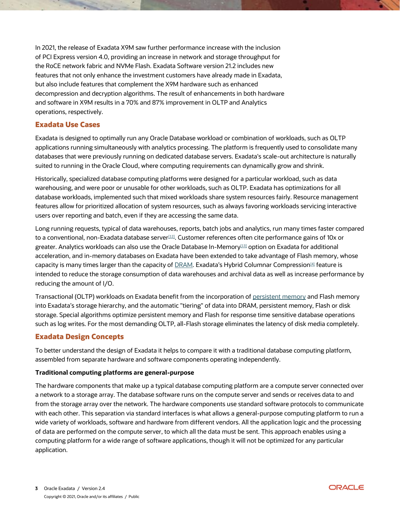In 2021, the release of Exadata X9M saw further performance increase with the inclusion of PCI Express version 4.0, providing an increase in network and storage throughput for the RoCE network fabric and NVMe Flash. Exadata Software version 21.2 includes new features that not only enhance the investment customers have already made in Exadata, but also include features that complement the X9M hardware such as enhanced decompression and decryption algorithms. The result of enhancements in both hardware and software in X9M results in a 70% and 87% improvement in OLTP and Analytics operations, respectively.

# **Exadata Use Cases**

Exadata is designed to optimally run any Oracle Database workload or combination of workloads, such as OLTP applications running simultaneously with analytics processing. The platform is frequently used to consolidate many databases that were previously running on dedicated database servers. Exadata's scale-out architecture is naturally suited to running in the Oracle Cloud, where computing requirements can dynamically grow and shrink.

Historically, specialized database computing platforms were designed for a particular workload, such as data warehousing, and were poor or unusable for other workloads, such as OLTP. Exadata has optimizations for all database workloads, implemented such that mixed workloads share system resources fairly. Resource management features allow for prioritized allocation of system resources, such as always favoring workloads servicing interactive users over reporting and batch, even if they are accessing the same data.

Long running requests, typical of data warehouses, reports, batch jobs and analytics, run many times faster compared to a conventional, non-Exadata database server $^{\rm [12]}$ . Customer references often cite performance gains of 10x or greater. Analytics workloads can also use the Oracle Database In-Memory[13] option on Exadata for additional acceleration, and in-memory databases on Exadata have been extended to take advantage of Flash memory, whose capacity is many times larger than the capacity of  $DRAM$ . Exadata's Hybrid Columnar Compression<sup>[4]</sup> feature is intended to reduce the storage consumption of data warehouses and archival data as well as increase performance by reducing the amount of I/O.

Transactional (OLTP) workloads on Exadata benefit from the incorporation of [persistent memory](https://www.intel.com/content/www/us/en/architecture-and-technology/optane-technology/optane-for-data-centers.html) and Flash memory into Exadata's storage hierarchy, and the automatic "tiering" of data into DRAM, persistent memory, Flash or disk storage. Special algorithms optimize persistent memory and Flash for response time sensitive database operations such as log writes. For the most demanding OLTP, all-Flash storage eliminates the latency of disk media completely.

# **Exadata Design Concepts**

To better understand the design of Exadata it helps to compare it with a traditional database computing platform, assembled from separate hardware and software components operating independently.

#### **Traditional computing platforms are general-purpose**

The hardware components that make up a typical database computing platform are a compute server connected over a network to a storage array. The database software runs on the compute server and sends or receives data to and from the storage array over the network. The hardware components use standard software protocols to communicate with each other. This separation via standard interfaces is what allows a general-purpose computing platform to run a wide variety of workloads, software and hardware from different vendors. All the application logic and the processing of data are performed on the compute server, to which all the data must be sent. This approach enables using a computing platform for a wide range of software applications, though it will not be optimized for any particular application.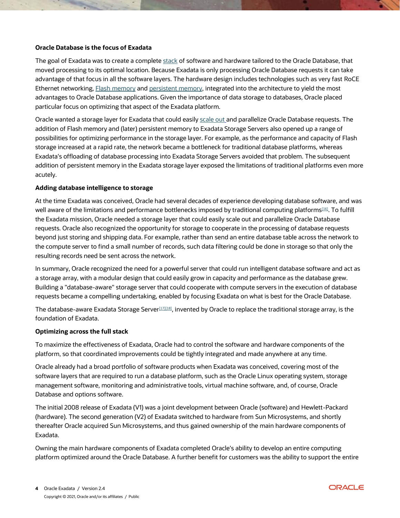#### **Oracle Database is the focus of Exadata**

The goal of Exadata was to create a complete [stack](https://en.wikipedia.org/wiki/Solution_stack) of software and hardware tailored to the Oracle Database, that moved processing to its optimal location. Because Exadata is only processing Oracle Database requests it can take advantage of that focus in all the software layers. The hardware design includes technologies such as very fast RoCE Ethernet networking, [Flash memory](https://en.wikipedia.org/wiki/Flash_memory) an[d persistent memory,](https://en.wikipedia.org/wiki/3D_XPoint) integrated into the architecture to yield the most advantages to Oracle Database applications. Given the importance of data storage to databases, Oracle placed particular focus on optimizing that aspect of the Exadata platform.

Oracle wanted a storage layer for Exadata that could easily [scale out](https://en.wikipedia.org/wiki/Scale_out) and parallelize Oracle Database requests. The addition of Flash memory and (later) persistent memory to Exadata Storage Servers also opened up a range of possibilities for optimizing performance in the storage layer. For example, as the performance and capacity of Flash storage increased at a rapid rate, the network became a bottleneck for traditional database platforms, whereas Exadata's offloading of database processing into Exadata Storage Servers avoided that problem. The subsequent addition of persistent memory in the Exadata storage layer exposed the limitations of traditional platforms even more acutely.

#### **Adding database intelligence to storage**

At the time Exadata was conceived, Oracle had several decades of experience developing database software, and was well aware of the limitations and performance bottlenecks imposed by traditional computing platforms<sup>[16]</sup>. To fulfill the Exadata mission, Oracle needed a storage layer that could easily [scale out](https://en.wikipedia.org/wiki/Scale_out) and parallelize Oracle Database requests. Oracle also recognized the opportunity for storage to cooperate in the processing of database requests beyond just storing and shipping data. For example, rather than send an entire database table across the network to the compute server to find a small number of records, such data filtering could be done in storage so that only the resulting records need be sent across the network.

In summary, Oracle recognized the need for a powerful server that could run intelligent database software and act as a storage array, with a modular design that could easily grow in capacity and performance as the database grew. Building a "database-aware" storage server that could cooperate with compute servers in the execution of database requests became a compelling undertaking, enabled by focusing Exadata on what is best for the Oracle Database.

The database-aware Exadata Storage Server $\scriptstyle{117$ [18], invented by Oracle to replace the traditional storage array, is the foundation of Exadata.

#### **Optimizing across the full stack**

To maximize the effectiveness of Exadata, Oracle had to control the software and hardware components of the platform, so that coordinated improvements could be tightly integrated and made anywhere at any time.

Oracle already had a broad portfolio of software products when Exadata was conceived, covering most of the software layers that are required to run a database platform, such as the [Oracle Linux](https://en.wikipedia.org/wiki/Oracle_Linux) operating system, storage management software, monitoring and administrative tools, [virtual machine](https://en.wikipedia.org/wiki/Virtual_machine) software, and, of course, Oracle Database and options software.

The initial 2008 release of Exadata (V1) was a joint development between Oracle (software) and Hewlett-Packard (hardware). The second generation (V2) of Exadata switched to hardware from [Sun Microsystems,](https://en.wikipedia.org/wiki/Sun_Microsystems) and shortly thereafter Oracle acquired Sun Microsystems, and thus gained ownership of the main hardware components of Exadata.

Owning the main hardware components of Exadata completed Oracle's ability to develop an entire computing platform optimized around the Oracle Database. A further benefit for customers was the ability to support the entire

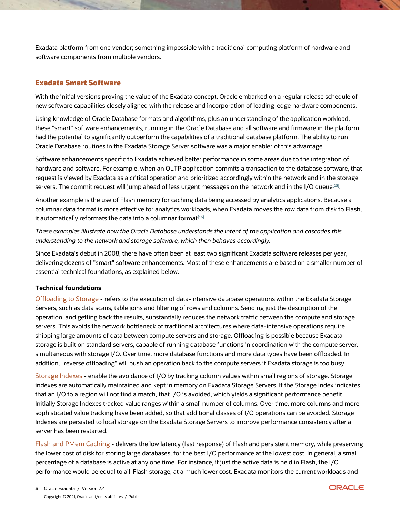Exadata platform from one vendor; something impossible with a traditional computing platform of hardware and software components from multiple vendors.

## **Exadata Smart Software**

With the initial versions proving the value of the Exadata concept, Oracle embarked on a regular release schedule of new software capabilities closely aligned with the release and incorporation of leading-edge hardware components.

Using knowledge of Oracle Database formats and algorithms, plus an understanding of the application workload, these "smart" software enhancements, running in the Oracle Database and all software and firmware in the platform, had the potential to significantly outperform the capabilities of a traditional database platform. The ability to run Oracle Database routines in the Exadata Storage Server software was a major enabler of this advantage.

Software enhancements specific to Exadata achieved better performance in some areas due to the integration of hardware and software. For example, when an OLTP application commits a transaction to the database software, that request is viewed by Exadata as a critical operation and prioritized accordingly within the network and in the storage servers. The commit request will jump ahead of less urgent messages on the network and in the I/O queue $^{\rm [15]}$ .

Another example is the use of Flash memory for caching data being accessed by analytics applications. Because a columnar data format is more effective for analytics workloads, when Exadata moves the row data from disk to Flash, it automatically reformats the data into a columnar format $^{\tiny\textsf{[16]}}.$ 

*These examples illustrate how the Oracle Database understands the intent of the application and cascades this understanding to the network and storage software, which then behaves accordingly.*

Since Exadata's debut in 2008, there have often been at least two significant Exadata software releases per year, delivering dozens of "smart" software enhancements. Most of these enhancements are based on a smaller number of essential technical foundations, as explained below.

#### **Technical foundations**

Offloading to Storage - refers to the execution of data-intensive database operations within the Exadata Storage Servers, such as data scans, table joins and filtering of rows and columns. Sending just the description of the operation, and getting back the results, substantially reduces the network traffic between the compute and storage servers. This avoids the network bottleneck of traditional architectures where data-intensive operations require shipping large amounts of data between compute servers and storage. Offloading is possible because Exadata storage is built on standard servers, capable of running database functions in coordination with the compute server, simultaneous with storage I/O. Over time, more database functions and more data types have been offloaded. In addition, "reverse offloading" will push an operation back to the compute servers if Exadata storage is too busy.

Storage Indexes - enable the avoidance of I/O by tracking column values within small regions of storage. Storage indexes are automatically maintained and kept in memory on Exadata Storage Servers. If the Storage Index indicates that an I/O to a region will not find a match, that I/O is avoided, which yields a significant performance benefit. Initially Storage Indexes tracked value ranges within a small number of columns. Over time, more columns and more sophisticated value tracking have been added, so that additional classes of I/O operations can be avoided. Storage Indexes are persisted to local storage on the Exadata Storage Servers to improve performance consistency after a server has been restarted.

Flash and PMem Caching - delivers the low latency (fast response) of Flash and persistent memory, while preserving the lower cost of disk for storing large databases, for the best I/O performance at the lowest cost. In general, a small percentage of a database is active at any one time. For instance, if just the active data is held in Flash, the I/O performance would be equal to all-Flash storage, at a much lower cost. Exadata monitors the current workloads and

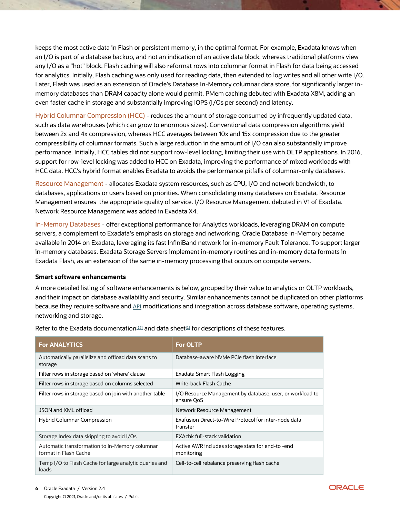keeps the most active data in Flash or persistent memory, in the optimal format. For example, Exadata knows when an I/O is part of a database backup, and not an indication of an active data block, whereas traditional platforms view any I/O as a "hot" block. Flash caching will also reformat rows into columnar format in Flash for data being accessed for analytics. Initially, Flash caching was only used for reading data, then extended to log writes and all other write I/O. Later, Flash was used as an extension of Oracle's Database In-Memory columnar data store, for significantly larger inmemory databases than DRAM capacity alone would permit. PMem caching debuted with Exadata X8M, adding an even faster cache in storage and substantially improving IOPS (I/Os per second) and latency.

Hybrid Columnar Compression (HCC) - reduces the amount of storage consumed by infrequently updated data, such as data warehouses (which can grow to enormous sizes). Conventional data compression algorithms yield between 2x and 4x compression, whereas HCC averages between 10x and 15x compression due to the greater compressibility of columnar formats. Such a large reduction in the amount of I/O can also substantially improve performance. Initially, HCC tables did not support row-level locking, limiting their use with OLTP applications. In 2016, support for row-level locking was added to HCC on Exadata, improving the performance of mixed workloads with HCC data. HCC's hybrid format enables Exadata to avoids the performance pitfalls of columnar-only databases.

Resource Management - allocates Exadata system resources, such as CPU, I/O and network bandwidth, to databases, applications or users based on priorities. When consolidating many databases on Exadata, Resource Management ensures the appropriate quality of service. I/O Resource Management debuted in V1 of Exadata. Network Resource Management was added in Exadata X4.

In-Memory Databases - offer exceptional performance for Analytics workloads, leveraging DRAM on compute servers, a complement to Exadata's emphasis on storage and networking. Oracle Database In-Memory became available in 2014 on Exadata, leveraging its fast InfiniBand network for in-memory Fault Tolerance. To support larger in-memory databases, Exadata Storage Servers implement in-memory routines and in-memory data formats in Exadata Flash, as an extension of the same in-memory processing that occurs on compute servers.

#### **Smart software enhancements**

A more detailed listing of software enhancements is below, grouped by their value to analytics or OLTP workloads, and their impact on database availability and security. Similar enhancements cannot be duplicated on other platforms because they require software and [API](https://en.wikipedia.org/wiki/Application_programming_interface) modifications and integration across database software, operating systems, networking and storage.

| <b>For ANALYTICS</b>                                                    | <b>For OLTP</b>                                                         |
|-------------------------------------------------------------------------|-------------------------------------------------------------------------|
| Automatically parallelize and offload data scans to<br>storage          | Database-aware NVMe PCIe flash interface                                |
| Filter rows in storage based on 'where' clause                          | Exadata Smart Flash Logging                                             |
| Filter rows in storage based on columns selected                        | Write-back Flash Cache                                                  |
| Filter rows in storage based on join with another table                 | I/O Resource Management by database, user, or workload to<br>ensure QoS |
| JSON and XML offload                                                    | Network Resource Management                                             |
| <b>Hybrid Columnar Compression</b>                                      | Exafusion Direct-to-Wire Protocol for inter-node data<br>transfer       |
| Storage Index data skipping to avoid I/Os                               | EXAchk full-stack validation                                            |
| Automatic transformation to In-Memory columnar<br>format in Flash Cache | Active AWR includes storage stats for end-to -end<br>monitoring         |
| Temp I/O to Flash Cache for large analytic queries and<br>loads         | Cell-to-cell rebalance preserving flash cache                           |

Refer to the Exadata documentation $^{[17]}$  and data sheet $^{[1]}$  for descriptions of these features.

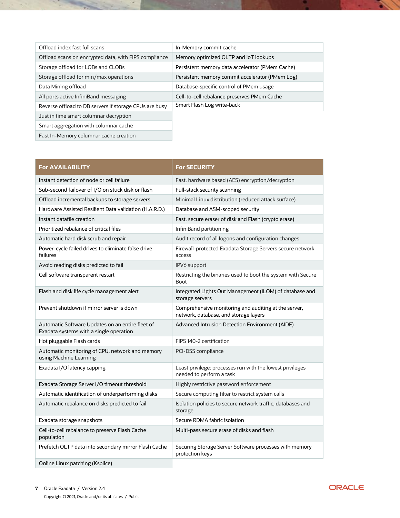| Offload index fast full scans                          | In-Memory commit cache                          |
|--------------------------------------------------------|-------------------------------------------------|
| Offload scans on encrypted data, with FIPS compliance  | Memory optimized OLTP and IoT lookups           |
| Storage offload for LOBs and CLOBs                     | Persistent memory data accelerator (PMem Cache) |
| Storage offload for min/max operations                 | Persistent memory commit accelerator (PMem Log) |
| Data Mining offload                                    | Database-specific control of PMem usage         |
| All ports active InfiniBand messaging                  | Cell-to-cell rebalance preserves PMem Cache     |
| Reverse offload to DB servers if storage CPUs are busy | Smart Flash Log write-back                      |
| Just in time smart columnar decryption                 |                                                 |
| Smart aggregation with columnar cache                  |                                                 |

Fast In-Memory columnar cache creation

 $\sim$ 

| <b>For AVAILABILITY</b>                                                                     | <b>For SECURITY</b>                                                                           |
|---------------------------------------------------------------------------------------------|-----------------------------------------------------------------------------------------------|
| Instant detection of node or cell failure                                                   | Fast, hardware based (AES) encryption/decryption                                              |
| Sub-second failover of I/O on stuck disk or flash                                           | Full-stack security scanning                                                                  |
| Offload incremental backups to storage servers                                              | Minimal Linux distribution (reduced attack surface)                                           |
| Hardware Assisted Resilient Data validation (H.A.R.D.)                                      | Database and ASM-scoped security                                                              |
| Instant datafile creation                                                                   | Fast, secure eraser of disk and Flash (crypto erase)                                          |
| Prioritized rebalance of critical files                                                     | InfiniBand partitioning                                                                       |
| Automatic hard disk scrub and repair                                                        | Audit record of all logons and configuration changes                                          |
| Power-cycle failed drives to eliminate false drive<br>failures                              | Firewall-protected Exadata Storage Servers secure network<br>access                           |
| Avoid reading disks predicted to fail                                                       | <b>IPV6</b> support                                                                           |
| Cell software transparent restart                                                           | Restricting the binaries used to boot the system with Secure<br><b>Boot</b>                   |
| Flash and disk life cycle management alert                                                  | Integrated Lights Out Management (ILOM) of database and<br>storage servers                    |
| Prevent shutdown if mirror server is down                                                   | Comprehensive monitoring and auditing at the server,<br>network, database, and storage layers |
| Automatic Software Updates on an entire fleet of<br>Exadata systems with a single operation | Advanced Intrusion Detection Environment (AIDE)                                               |
| Hot pluggable Flash cards                                                                   | FIPS 140-2 certification                                                                      |
| Automatic monitoring of CPU, network and memory<br>using Machine Learning                   | PCI-DSS compliance                                                                            |
| Exadata I/O latency capping                                                                 | Least privilege: processes run with the lowest privileges<br>needed to perform a task         |
| Exadata Storage Server I/O timeout threshold                                                | Highly restrictive password enforcement                                                       |
| Automatic identification of underperforming disks                                           | Secure computing filter to restrict system calls                                              |
| Automatic rebalance on disks predicted to fail                                              | Isolation policies to secure network traffic, databases and<br>storage                        |
| Exadata storage snapshots                                                                   | Secure RDMA fabric isolation                                                                  |
| Cell-to-cell rebalance to preserve Flash Cache<br>population                                | Multi-pass secure erase of disks and flash                                                    |
| Prefetch OLTP data into secondary mirror Flash Cache                                        | Securing Storage Server Software processes with memory<br>protection keys                     |
| Online Linux patching (Ksplice)                                                             |                                                                                               |



œ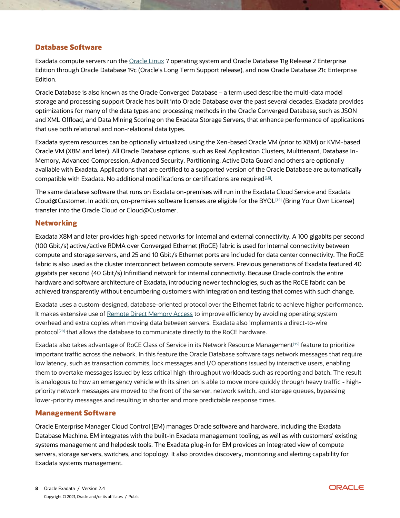### **Database Software**

Exadata compute servers run the [Oracle Linux](https://en.wikipedia.org/wiki/Oracle_Linux) 7 operating system and Oracle Database 11g Release 2 Enterprise Edition through Oracle Database 19c (Oracle's Long Term Support release), and now Oracle Database 21c Enterprise Edition.

Oracle Database is also known as the Oracle Converged Database – a term used describe the multi-data model storage and processing support Oracle has built into Oracle Database over the past several decades. Exadata provides optimizations for many of the data types and processing methods in the Oracle Converged Database, such as JSON and XML Offload, and Data Mining Scoring on the Exadata Storage Servers, that enhance performance of applications that use both relational and non-relational data types.

Exadata system resources can be optionally virtualized using the Xen-based Oracle VM (prior to X8M) or KVM-based Oracle VM (X8M and later). All Oracle Database options, such as Real Application Clusters, Multitenant, Database In-Memory, Advanced Compression, Advanced Security, Partitioning, Active Data Guard and others are optionally available with Exadata. Applications that are certified to a supported version of the Oracle Database are automatically compatible with Exadata. No additional modifications or certifications are required $^{\text{\tiny{[18]}}}$ .

The same database software that runs on Exadata on-premises will run in the Exadata Cloud Service and Exadata Cloud@Customer. In addition, on-premises software licenses are eligible for the BYOL[19] (Bring Your Own License) transfer into the Oracle Cloud or Cloud@Customer.

#### **Networking**

Exadata X8M and later provides high-speed networks for internal and external connectivity. A 100 gigabits per second (100 Gbit/s) active/active RDMA over Converged Ethernet (RoCE) fabric is used for internal connectivity between compute and storage servers, and 25 and 10 Gbit/s Ethernet ports are included for data center connectivity. The RoCE fabric is also used as the cluster interconnect between compute servers. Previous generations of Exadata featured 40 gigabits per second (40 Gbit/s) InfiniBand network for internal connectivity. Because Oracle controls the entire hardware and software architecture of Exadata, introducing newer technologies, such as the RoCE fabric can be achieved transparently without encumbering customers with integration and testing that comes with such change.

Exadata uses a custom-designed, database-oriented protocol over the Ethernet fabric to achieve higher performance. It makes extensive use of [Remote Direct Memory Access](https://en.wikipedia.org/wiki/Remote_direct_memory_access) to improve efficiency by avoiding operating system overhead and extra copies when moving data between servers. Exadata also implements a direct-to-wire protocol<sup>[20]</sup> that allows the database to communicate directly to the RoCE hardware.

Exadata also takes advantage of RoCE Class of Service in its Network Resource Management¤si feature to prioritize important traffic across the network. In this feature the Oracle Database software tags network messages that require low latency, such as transaction commits, lock messages and I/O operations issued by interactive users, enabling them to overtake messages issued by less critical high-throughput workloads such as reporting and batch. The result is analogous to how an emergency vehicle with its siren on is able to move more quickly through heavy traffic - highpriority network messages are moved to the front of the server, network switch, and storage queues, bypassing lower-priority messages and resulting in shorter and more predictable response times.

#### **Management Software**

Oracle Enterprise Manager Cloud Control (EM) manages Oracle software and hardware, including the Exadata Database Machine. EM integrates with the built-in Exadata management tooling, as well as with customers' existing systems management and helpdesk tools. The Exadata plug-in for EM provides an integrated view of compute servers, storage servers, switches, and topology. It also provides discovery, monitoring and alerting capability for Exadata systems management.

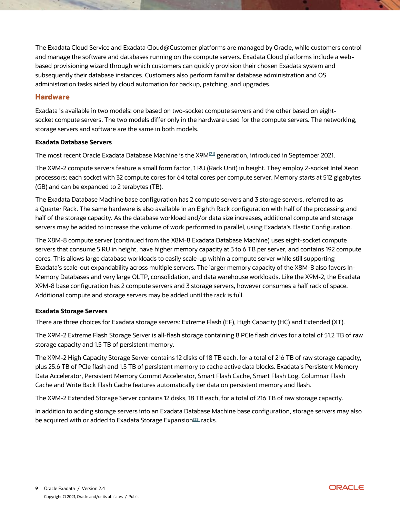The Exadata Cloud Service and Exadata Cloud@Customer platforms are managed by Oracle, while customers control and manage the software and databases running on the compute servers. Exadata Cloud platforms include a webbased provisioning wizard through which customers can quickly provision their chosen Exadata system and subsequently their database instances. Customers also perform familiar database administration and OS administration tasks aided by cloud automation for backup, patching, and upgrades.

### **Hardware**

Exadata is available in two models: one based on two[-socket](https://en.wikipedia.org/wiki/CPU_socket) compute servers and the other based on eight[socket](https://en.wikipedia.org/wiki/Cpu_socket) compute servers. The two models differ only in the hardware used for the compute servers. The networking, storage servers and software are the same in both models.

#### **Exadata Database Servers**

The most recent Oracle Exadata Database Machine is the X9M<sup>[21]</sup> generation, introduced in September 2021.

The X9M-2 compute servers feature a small form factor, 1 RU (Rack Unit) in height. They employ 2-socket Intel Xeon processors; each socket with 32 compute cores for 64 total cores per compute server. Memory starts at 512 gigabytes (GB) and can be expanded to 2 terabytes (TB).

The Exadata Database Machine base configuration has 2 compute servers and 3 storage servers, referred to as a Quarter Rack. The same hardware is also available in an Eighth Rack configuration with half of the processing and half of the storage capacity. As the database workload and/or data size increases, additional compute and storage servers may be added to increase the volume of work performed in parallel, using Exadata's Elastic Configuration.

The X8M-8 compute server (continued from the X8M-8 Exadata Database Machine) uses eight-socket compute servers that consume 5 RU in height, have higher memory capacity at 3 to 6 TB per server, and contains 192 compute cores. This allows large database workloads to easily [scale-up](https://en.wikipedia.org/wiki/Scalability) within a compute server while still supporting Exadata's [scale-out](https://en.wikipedia.org/wiki/Scalability) expandability across multiple servers. The larger memory capacity of the X8M-8 also favors In-Memory Databases and very large OLTP, consolidation, and data warehouse workloads. Like the X9M-2, the Exadata X9M-8 base configuration has 2 compute servers and 3 storage servers, however consumes a half rack of space. Additional compute and storage servers may be added until the rack is full.

#### **Exadata Storage Servers**

There are three choices for Exadata storage servers: Extreme Flash (EF), High Capacity (HC) and Extended (XT).

The X9M-2 Extreme Flash Storage Server is all-flash storage containing 8 [PCIe](https://en.wikipedia.org/wiki/PCI_Express) flash drives for a total of 51.2 TB of raw storage capacity and 1.5 TB of persistent memory.

The X9M-2 High Capacity Storage Server contains 12 disks of 18 TB each, for a total of 216 TB of raw storage capacity, plus 25.6 TB of PCIe flash and 1.5 TB of persistent memory to cache active data blocks. Exadata's Persistent Memory Data Accelerator, Persistent Memory Commit Accelerator, Smart Flash Cache, Smart Flash Log, Columnar Flash Cache and Write Back Flash Cache features automatically tier data on persistent memory and flash.

The X9M-2 Extended Storage Server contains 12 disks, 18 TB each, for a total of 216 TB of raw storage capacity.

In addition to adding storage servers into an Exadata Database Machine base configuration, storage servers may also be acquired with or added to Exadata Storage Expansion<sup>[22]</sup> racks.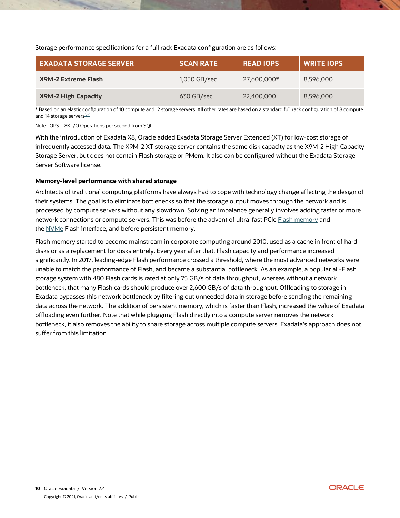Storage performance specifications for a full rack Exadata configuration are as follows:

| <b>EXADATA STORAGE SERVER</b> | <b>SCAN RATE</b> | <b>READ IOPS</b> | <b>WRITE IOPS</b> |  |
|-------------------------------|------------------|------------------|-------------------|--|
| <b>X9M-2 Extreme Flash</b>    | 1,050 GB/sec     | 27,600,000*      | 8,596,000         |  |
| <b>X9M-2 High Capacity</b>    | 630 GB/sec       | 22,400,000       | 8,596,000         |  |

\* Based on an elastic configuration of 10 compute and 12 storage servers. All other rates are based on a standard full rack configuration of 8 compute and 14 storage servers<sup>[23]</sup>

Note: IOPS = 8K I/O Operations per second from SQL

With the introduction of Exadata X8, Oracle added Exadata Storage Server Extended (XT) for low-cost storage of infrequently accessed data. The X9M-2 XT storage server contains the same disk capacity as the X9M-2 High Capacity Storage Server, but does not contain Flash storage or PMem. It also can be configured without the Exadata Storage Server Software license.

#### **Memory-level performance with shared storage**

Architects of traditional computing platforms have always had to cope with technology change affecting the design of their systems. The goal is to eliminate bottlenecks so that the storage output moves through the network and is processed by compute servers without any slowdown. Solving an imbalance generally involves adding faster or more network connections or compute servers. This was before the advent of ultra-fast PCIe [Flash memory](https://en.wikipedia.org/wiki/Flash_memory) and the [NVMe](https://en.wikipedia.org/wiki/NVM_Express) Flash interface, and before persistent memory.

Flash memory started to become mainstream in corporate computing around 2010, used as a cache in front of hard disks or as a replacement for disks entirely. Every year after that, Flash capacity and performance increased significantly. In 2017, leading-edge Flash performance crossed a threshold, where the most advanced networks were unable to match the performance of Flash, and became a substantial bottleneck. As an example, a popular all-Flash storage system with 480 Flash cards is rated at only 75 GB/s of data throughput, whereas without a network bottleneck, that many Flash cards should produce over 2,600 GB/s of data throughput. Offloading to storage in Exadata bypasses this network bottleneck by filtering out unneeded data in storage before sending the remaining data across the network. The addition of persistent memory, which is faster than Flash, increased the value of Exadata offloading even further. Note that while plugging Flash directly into a compute server removes the network bottleneck, it also removes the ability to share storage across multiple compute servers. Exadata's approach does not suffer from this limitation.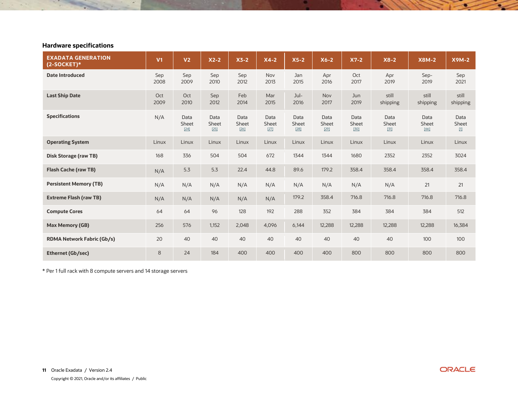# **Hardware specifications**

 $\sim 10$ 

| <b>EXADATA GENERATION</b><br>$(2-SOCKET)*$ | V <sub>1</sub> | V <sub>2</sub>          | $X2-2$                  | $X3-2$                  | $X4-2$                  | $X5-2$                  | $X6-2$                  | $X7-2$                  | $X8-2$                  | <b>X8M-2</b>            | <b>X9M-2</b>                 |
|--------------------------------------------|----------------|-------------------------|-------------------------|-------------------------|-------------------------|-------------------------|-------------------------|-------------------------|-------------------------|-------------------------|------------------------------|
| <b>Date Introduced</b>                     | Sep<br>2008    | Sep<br>2009             | Sep<br>2010             | Sep<br>2012             | Nov<br>2013             | Jan<br>2015             | Apr<br>2016             | Oct<br>2017             | Apr<br>2019             | Sep-<br>2019            | Sep<br>2021                  |
| <b>Last Ship Date</b>                      | Oct<br>2009    | Oct<br>2010             | Sep<br>2012             | Feb<br>2014             | Mar<br>2015             | Jul-<br>2016            | Nov<br>2017             | Jun<br>2019             | still<br>shipping       | still<br>shipping       | still<br>shipping            |
| <b>Specifications</b>                      | N/A            | Data<br>Sheet<br>$[24]$ | Data<br>Sheet<br>$[25]$ | Data<br>Sheet<br>$[26]$ | Data<br>Sheet<br>$[27]$ | Data<br>Sheet<br>$[28]$ | Data<br>Sheet<br>$[29]$ | Data<br>Sheet<br>$[30]$ | Data<br>Sheet<br>$[31]$ | Data<br>Sheet<br>$[66]$ | Data<br>Sheet<br>$\boxed{1}$ |
| <b>Operating System</b>                    | Linux          | Linux                   | Linux                   | Linux                   | Linux                   | Linux                   | Linux                   | Linux                   | Linux                   | Linux                   | Linux                        |
| <b>Disk Storage (raw TB)</b>               | 168            | 336                     | 504                     | 504                     | 672                     | 1344                    | 1344                    | 1680                    | 2352                    | 2352                    | 3024                         |
| <b>Flash Cache (raw TB)</b>                | N/A            | 5.3                     | 5.3                     | 22.4                    | 44.8                    | 89.6                    | 179.2                   | 358.4                   | 358.4                   | 358.4                   | 358.4                        |
| <b>Persistent Memory (TB)</b>              | N/A            | N/A                     | N/A                     | N/A                     | N/A                     | N/A                     | N/A                     | N/A                     | N/A                     | 21                      | 21                           |
| <b>Extreme Flash (raw TB)</b>              | N/A            | N/A                     | N/A                     | N/A                     | N/A                     | 179.2                   | 358.4                   | 716.8                   | 716.8                   | 716.8                   | 716.8                        |
| <b>Compute Cores</b>                       | 64             | 64                      | 96                      | 128                     | 192                     | 288                     | 352                     | 384                     | 384                     | 384                     | 512                          |
| <b>Max Memory (GB)</b>                     | 256            | 576                     | 1,152                   | 2,048                   | 4,096                   | 6,144                   | 12,288                  | 12,288                  | 12,288                  | 12,288                  | 16,384                       |
| <b>RDMA Network Fabric (Gb/s)</b>          | 20             | 40                      | 40                      | 40                      | 40                      | 40                      | 40                      | 40                      | 40                      | 100                     | 100                          |
| <b>Ethernet (Gb/sec)</b>                   | 8              | 24                      | 184                     | 400                     | 400                     | 400                     | 400                     | 800                     | 800                     | 800                     | 800                          |

\* Per 1 full rack with 8 compute servers and 14 storage servers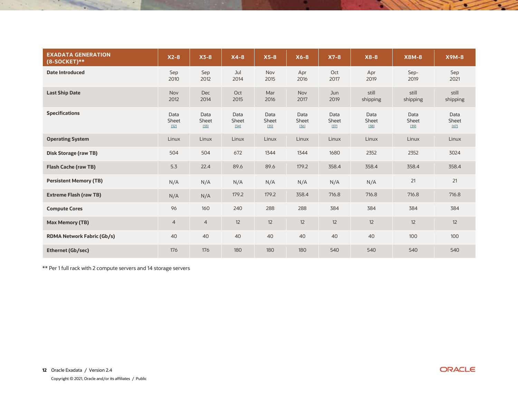| <b>EXADATA GENERATION</b><br>$(8-SOCKET)**$ | $X2-8$                  | $X3-8$                  | $X4-8$                  | $X5-8$                  | $X6-8$                  | $X7-8$                  | $X8-8$                | <b>X8M-8</b>            | <b>X9M-8</b>            |
|---------------------------------------------|-------------------------|-------------------------|-------------------------|-------------------------|-------------------------|-------------------------|-----------------------|-------------------------|-------------------------|
| <b>Date Introduced</b>                      | Sep<br>2010             | Sep<br>2012             | Jul<br>2014             | Nov<br>2015             | Apr<br>2016             | Oct<br>2017             | Apr<br>2019           | Sep-<br>2019            | Sep<br>2021             |
| <b>Last Ship Date</b>                       | Nov<br>2012             | <b>Dec</b><br>2014      | Oct<br>2015             | Mar<br>2016             | Nov<br>2017             | Jun<br>2019             | still<br>shipping     | still<br>shipping       | still<br>shipping       |
| <b>Specifications</b>                       | Data<br>Sheet<br>$[32]$ | Data<br>Sheet<br>$[33]$ | Data<br>Sheet<br>$[34]$ | Data<br>Sheet<br>$[35]$ | Data<br>Sheet<br>$[36]$ | Data<br>Sheet<br>$[37]$ | Data<br>Sheet<br>[38] | Data<br>Sheet<br>$[39]$ | Data<br>Sheet<br>$[67]$ |
| <b>Operating System</b>                     | Linux                   | Linux                   | Linux                   | Linux                   | Linux                   | Linux                   | Linux                 | Linux                   | Linux                   |
| Disk Storage (raw TB)                       | 504                     | 504                     | 672                     | 1344                    | 1344                    | 1680                    | 2352                  | 2352                    | 3024                    |
| <b>Flash Cache (raw TB)</b>                 | 5.3                     | 22.4                    | 89.6                    | 89.6                    | 179.2                   | 358.4                   | 358.4                 | 358.4                   | 358.4                   |
| <b>Persistent Memory (TB)</b>               | N/A                     | N/A                     | N/A                     | N/A                     | N/A                     | N/A                     | N/A                   | 21                      | 21                      |
| <b>Extreme Flash (raw TB)</b>               | N/A                     | N/A                     | 179.2                   | 179.2                   | 358.4                   | 716.8                   | 716.8                 | 716.8                   | 716.8                   |
| <b>Compute Cores</b>                        | 96                      | 160                     | 240                     | 288                     | 288                     | 384                     | 384                   | 384                     | 384                     |
| <b>Max Memory (TB)</b>                      | $\overline{4}$          | $\overline{4}$          | 12                      | 12                      | 12                      | 12                      | 12                    | 12                      | 12                      |
| <b>RDMA Network Fabric (Gb/s)</b>           | 40                      | 40                      | 40                      | 40                      | 40                      | 40                      | 40                    | 100                     | 100                     |
| Ethernet (Gb/sec)                           | 176                     | 176                     | 180                     | 180                     | 180                     | 540                     | 540                   | 540                     | 540                     |

\*\* Per 1 full rack with 2 compute servers and 14 storage servers

 $\sim$   $^{\circ}$ 

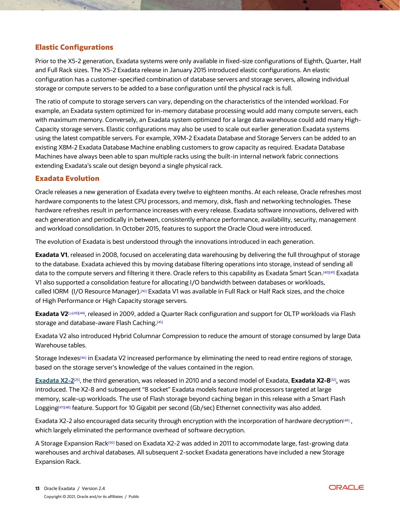# **Elastic Configurations**

Prior to the X5-2 generation, Exadata systems were only available in fixed-size configurations of Eighth, Quarter, Half and Full Rack sizes. The X5-2 Exadata release in January 2015 introduced elastic configurations. An elastic configuration has a customer-specified combination of database servers and storage servers, allowing individual storage or compute servers to be added to a base configuration until the physical rack is full.

The ratio of compute to storage servers can vary, depending on the characteristics of the intended workload. For example, an Exadata system optimized for in-memory database processing would add many compute servers, each with maximum memory. Conversely, an Exadata system optimized for a large data warehouse could add many High-Capacity storage servers. Elastic configurations may also be used to scale out earlier generation Exadata systems using the latest compatible servers. For example, X9M-2 Exadata Database and Storage Servers can be added to an existing X8M-2 Exadata Database Machine enabling customers to grow capacity as required. Exadata Database Machines have always been able to span multiple racks using the built-in internal network fabric connections extending Exadata's scale out design beyond a single physical rack.

### **Exadata Evolution**

Oracle releases a new generation of Exadata every twelve to eighteen months. At each release, Oracle refreshes most hardware components to the latest CPU processors, and memory, disk, flash and networking technologies. These hardware refreshes result in performance increases with every release. Exadata software innovations, delivered with each generation and periodically in between, consistently enhance performance, availability, security, management and workload consolidation. In October 2015, features to support the Oracle Cloud were introduced.

The evolution of Exadata is best understood through the innovations introduced in each generation.

**Exadata V1**, released in 2008, focused on accelerating data warehousing by delivering the full throughput of storage to the database. Exadata achieved this by moving database filtering operations into storage, instead of sending all data to the compute servers and filtering it there. Oracle refers to this capability as Exadata Smart Scan.[\[40\]](https://www.youtube.com/watch?v=EhAlkOQwuAM&index=2&list=PLKCk3OyNwIzsMPOS-d73HAuEbDUp9Hglq)[\[41\]](http://kerryosborne.oracle-guy.com/papers/Understanding%20Exadata%20Offloading.pdf) Exadata V1 also supported a consolidation feature for allocating I/O bandwidth between databases or workloads, called IORM (I/O Resource Manager).<sup>[\[42\]](https://docs.oracle.com/en/engineered-systems/exadata-database-machine/sagug/exadata-storage-server-iorm.html#GUID-CF1C0C2A-7E10-4DB6-8A2B-F217BD1FEC21)</sup> Exadata V1 was available in Full Rack or Half Rack sizes, and the choice of High Performance or High Capacity storage servers.

**Exadata V2**[[24](http://www.oracle.com/us/industries/healthcare/058454.pdf?ssSo%20urceSiteId=ocomjp)[\[43\]\[](https://www.oracle.com/technetwork/database/exadata/exadata-datasheet-1-129084.pdf)[44\]](https://www.youtube.com/watch?v=3WPOrdUGteE) , released in 2009, added a Quarter Rack configuration and support for OLTP workloads via [Flash](https://en.wikipedia.org/wiki/Flash_memory)  [storage](https://en.wikipedia.org/wiki/Flash_memory) and database-aware Flash Caching.<sup>[\[45\]](https://www.oracle.com/technetwork/database/exadata/exadata-smart-flash-cache-366203.pdf)</sup>

Exadata V2 also introduced Hybrid Columnar Compression to reduce the amount of storage consumed by large Data Warehouse tables.

Storage Indexes<sup>[\[46\]](https://www.youtube.com/watch?v=J64gw7Aal_c&index=1&list=PLKCk3OyNwIzsMPOS-d73HAuEbDUp9Hglq)</sup> in Exadata V2 increased performance by eliminating the need to read entire regions of storage, based on the storage server's knowledge of the values contained in the region.

**[Exadata X2-2](https://www.oracle.com/technetwork/database/exadata/dbmachine-x2-2-datasheet-175280.pdf)** [\[25\]](https://www.oracle.com/technetwork/database/exadata/dbmachine-x2-2-datasheet-175280.pdf), the third generation, was released in 2010 and a second model of Exadata, **Exadata X2-8**[\[32\]](https://www.oracle.com/technetwork/database/exadata/dbmachine-x2-8-datasheet-173705.pdf) **,** was introduced. The X2-8 and subsequent "8 socket" Exadata models feature Intel processors targeted at large memory, [scale-up](https://en.wikipedia.org/wiki/Scalability) workloads. The use of Flash storage beyond caching began in this release with a Smart Flash Logging[\[47\]\[](https://www.youtube.com/watch?v=_2AyotxL0N8&index=3&list=PLKCk3OyNwIzsMPOS-d73HAuEbDUp9Hglq)[48\]](https://en.wikipedia.org/w/index.php?title=Oracle_Exadata&oldid=916670351#cite_note-59) feature. Support for 10 Gigabit per second (Gb/sec) Ethernet connectivity was also added.

Exadata X2-2 also encouraged data security through encryption with the incorporation of hardware decryption $499$ , which largely eliminated the performance overhead of software decryption.

A Storage Expansion Rack[\[50\]](https://www.oracle.com/technetwork/database/exadata/exadata-storage-expansion-x7-2-ds-4428337.pdf) based on Exadata X2-2 was added in 2011 to accommodate large, fast-growing data warehouses and archival databases. All subsequent 2-socket Exadata generations have included a new Storage Expansion Rack.

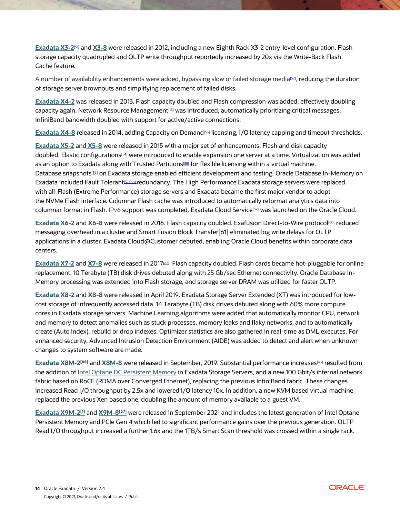**[Exadata X3-2](https://www.oracle.com/technetwork/database/exadata/exadata-dbmachine-x3-2-ds-1855384.pdf)** [\[51\]](https://en.wikipedia.org/w/index.php?title=Oracle_Exadata&oldid=916670351#cite_note-:12-62) and **[X3-8](https://www.oracle.com/technetwork/database/exadata/exadata-dbmachine-x3-8-ds-1855388.pdf)** were released in 2012, including a new Eighth Rack X3-2 entry-level configuration. Flash storage capacity quadrupled and OLTP write throughput reportedly increased by 20x via the Write-Back Flash Cache feature.

A number of availability enhancements were added, bypassing slow or failed storage media<sup>[\[52\]](https://www.youtube.com/watch?v=4ScPLSbapS0&index=6&list=PLKCk3OyNwIzsMPOS-d73HAuEbDUp9Hglq)</sup>, reducing the duration of storage server brownouts and simplifying replacement of failed disks.

**[Exadata X4-2](https://www.oracle.com/a/otn/docs/exadata-x4-2-ds.pdf)** was released in 2013. Flash capacity doubled and Flash compression was added, effectively doubling capacity again. Network Resource Management[\[15\]](https://www.youtube.com/watch?v=5SWPA3FA-HQ&index=5&list=PLKCk3OyNwIzsMPOS-d73HAuEbDUp9Hglq) was introduced, automatically prioritizing critical messages. InfiniBand bandwidth doubled with support for active/active connections.

**[Exadata X4-8](http://www.oracle.com/technetwork/database/exadata/exadatax4-8datasheet-2243041.pdf)** released in 2014, adding Capacity on Demand[\[53\]](https://docs.oracle.com/en/engineered-systems/exadata-database-machine/dbmli/exadata-capacity-on-demand.html#GUID-A98ABB53-2AF0-4046-84E1-99E3DF69BD72) licensing, I/O latency capping and timeout thresholds.

**[Exadata X5-2](https://www.oracle.com/a/otn/docs/exadata-x5-2-ds.pdf)** and **[X5-8](https://www.oracle.com/technetwork/database/exadata/exadata-x5-8-ds-2745934.pdf)** were released in 2015 with a major set of enhancements. Flash and disk capacity doubled. Elastic configurations[\[54\]](https://docs.oracle.com/en/engineered-systems/exadata-database-machine/dbmso/exadata-elastic-configurations.html#GUID-5C9308D2-10D4-4958-B079-2E214EC1B2A0) were introduced to enable expansion one server at a time. Virtualization was added as an option to Exadata along with Trusted Partitions<sup>[\[55\]](https://blogs.oracle.com/exadata/controlling-software-costs-on-exadata)</sup> for flexible licensing within a virtual machine. Database snapshots<sup>[\[56\]](https://www.oracle.com/technetwork/database/exadata/learnmore/exadata-database-copy-twp-2543083.pdf)</sup> on Exadata storage enabled efficient development and testing. Oracle Database In-Memory on Exadata included Fault Tolerant[\[57\]\[](https://en.wikipedia.org/w/index.php?title=Oracle_Exadata&oldid=916670351#cite_note-69)[58\]](https://en.wikipedia.org/w/index.php?title=Oracle_Exadata&oldid=916670351#cite_note-70)redundancy. The High Performance Exadata storage servers were replaced with all-Flash (Extreme Performance) storage servers and Exadata became the first major vendor to adopt the [NVMe](https://en.wikipedia.org/wiki/NVM_Express) Flash interface. Columnar Flash cache was introduced to automatically reformat analytics data into columnar format in Flash. [IPv6](https://en.wikipedia.org/wiki/IPv6) support was completed. Exadata Cloud Service<sup>[\[59\]](https://www.oracle.com/technetwork/database/exadata/exadataservice-ds-2574134.pdf)</sup> was launched on the Oracle Cloud.

**[Exadata X6-2](https://www.oracle.com/technetwork/database/exadata/exadata-x6-2-ds-2968790.pdf)** and **[X6-8](https://www.oracle.com/technetwork/database/exadata/exadata-x6-8-ds-2968796.pdf)** were released in 2016. Flash capacity doubled. Exafusion Direct-to-Wire protocol[\[60\]](https://www.youtube.com/watch?v=OMZogy7rkoI&index=9&list=PLKCk3OyNwIzsMPOS-d73HAuEbDUp9Hglq) reduced messaging overhead in a cluster and Smart Fusion Block Transfe[r\[61\]](https://www.youtube.com/watch?v=iBrfdAFVhNk&list=PLKCk3OyNwIzsMPOS-d73HAuEbDUp9Hglq&index=4) eliminated log write delays for OLTP applications in a cluster. Exadata Cloud@Customer debuted, enabling Oracle Cloud benefits within corporate data centers.

**[Exadata X7-2](https://www.oracle.com/technetwork/database/exadata/exadata-x7-2-ds-3908482.pdf)** and **[X7-8](https://www.oracle.com/technetwork/database/exadata/exadata-x7-8-ds-3938980.pdf)** were released in 2017[\[62\]](https://video.oracle.com/detail/videos/featured-videos/video/5591322770001) . Flash capacity doubled. Flash cards became hot-pluggable for online replacement. 10 Terabyte (TB) disk drives debuted along with 25 Gb/sec Ethernet connectivity. Oracle Database In-Memory processing was extended into Flash storage, and storage server DRAM was utilized for faster OLTP.

**[Exadata X8-2](https://www.oracle.com/technetwork/database/exadata/exadata-x8-2-ds-5444350.pdf)** and **[X8-8](https://www.oracle.com/a/ocom/docs/engineered-systems/exadata/exadata-x8-8-ds.pdf)** were released in April 2019. Exadata Storage Server Extended (XT) was introduced for lowcost storage of infrequently accessed data. 14 Terabyte (TB) disk drives debuted along with 60% more compute cores in Exadata storage servers. Machine Learning algorithms were added that automatically monitor CPU, network and memory to detect anomalies such as stuck processes, memory leaks and flaky networks, and to automatically create (Auto index), rebuild or drop indexes. Optimizer statistics are also gathered in real-time as DML executes. For enhanced security, Advanced Intrusion Detection Environment (AIDE) was added to detect and alert when unknown changes to system software are made.

**[Exadata X8M-2](https://www.oracle.com/a/ocom/docs/engineered-systems/exadata/exadata-x8m-2-ds.pdf) [\[66\]](https://www.oracle.com/a/ocom/docs/engineered-systems/exadata/exadata-x8m-2-ds.pdf)** and **[X8M-8](https://www.oracle.com/a/ocom/docs/engineered-systems/exadata/exadata-x8m-8-ds.pdf)** were released in September, 2019. Substantial performance increases[\[63\]](https://www.oracle.com/corporate/pressrelease/oow19-oracle-unleashes-worlds-fastest-database-machine-091619.html) resulted from the addition of [Intel Optane DC Persistent Memory](https://en.wikipedia.org/wiki/3D_XPoint) in Exadata Storage Servers, and a new 100 Gbit/s internal network fabric based on RoCE (RDMA over Converged Ethernet), replacing the previous InfiniBand fabric. These changes increased Read I/O throughput by 2.5x and lowered I/O latency 10x. In addition. a new KVM based virtual machine replaced the previous Xen based one, doubling the amount of memory available to a guest VM.

<span id="page-13-0"></span>**[Exadata X9M-2](https://www.oracle.com/a/ocom/docs/engineered-systems/exadata/exadata-x9m-2-ds.pdf)<sup>[\[1\]](https://www.oracle.com/a/ocom/docs/engineered-systems/exadata/exadata-x8m-2-ds.pdf)</sup>** and **[X9M-8](https://www.oracle.com/a/ocom/docs/engineered-systems/exadata/exadata-x8m-2-ds.pdf)**<sup>[67]</sup> were released in September 2021 and includes the latest generation of Intel Optane Persistent Memory and PCIe Gen 4 which led to significant performance gains over the previous generation. OLTP Read I/O throughput increased a further 1.6x and the 1TB/s Smart Scan threshold was crossed within a single rack.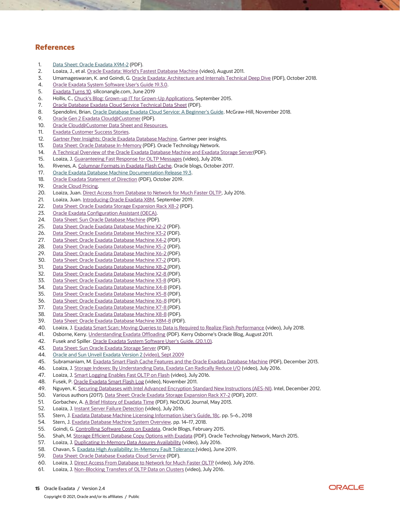#### **References**

- 1. [Data Sheet: Oracle Exadata X9M-2](https://www.oracle.com/a/ocom/docs/engineered-systems/exadata/exadata-x9m-2-ds.pdf) (PDF).
- 2. Loaiza, J., et al. [Oracle Exadata: World's Fastest Database Machine](https://www.youtube.com/watch?v=ZHlFDgci9Fc) (video), August 2011.
- 3. Umamageswaran, K. and Goindi, G[. Oracle Exadata: Architecture and Internals Technical Deep Dive](https://www.oracle.com/technetwork/database/exadata/trn4113-exadatadeepdive-5187039.pdf) (PDF), October 2018.
- 4. [Oracle Exadata System Software User's Guide 19.3.0.](https://www.oracle.com/pls/topic/lookup?ctx=en/engineered-systems/exadata-database-machine&id=SAGUG20314)
- 5. [Exadata Turns 10.](https://siliconangle.com/2019/06/20/oracles-pioneering-database-machine-exadata-turns-10-exclusive-look-ahead/) siliconangle.com, June 2019
- 6. Hollis, C., [Chuck's Blog: Grown-up IT for Grown-Up Applications,](http://chucksblog.typepad.com/chucks_blog/2015/09/grown-up-it-for-grown-up-applications.html) September 2015.
- 7. [Oracle Database Exadata Cloud Service Technical Data Sheet](https://www.oracle.com/technetwork/database/exadata/exadataservice-ds-2574134.pdf) (PDF).
- 8. Spendolini, Brian, [Oracle Database Exadata Cloud Service: A Beginner's Guide.](https://www.amazon.com/Oracle-Database-Exadata-Cloud-Service-ebook/dp/B07JH7JY83) McGraw-Hill, November 2018.
- 9. [Oracle Gen 2 Exadata Cloud@Customer](https://www.oracle.com/a/ocom/docs/engineered-systems/exadata/gen2-exacc-ds.pdf) (PDF).
- 10. [Oracle Cloud@Customer Data Sheet and Resources.](https://www.oracle.com/cloud/paas/oracle-cloud-at-customer/resources.html)
- 11. [Exadata Customer Success Stories.](https://www.oracle.com/search/customers?Ntt=exadata&Dy=1&Nty=1&Ntk=S1)
- 12. [Gartner Peer Insights: Oracle Exadata Database Machine.](https://www.gartner.com/reviews/market/data-warehouse-solutions/vendor/oracle/product/oracle-exadata-database-machine) Gartner peer insights.
- 13. [Data Sheet: Oracle Database In-Memory](http://www.oracle.com/technetwork/database/options/database-in-memory-ds-2210927.pdf) (PDF). Oracle Technology Network.
- 14. [A Technical Overview of the Oracle Exadata Database Machine and Exadata Storage Server\(](https://www.oracle.com/technetwork/database/exadata/exadata-technical-whitepaper-134575.pdf)PDF).
- 15. Loaiza, J. [Guaranteeing Fast Response for OLTP Messages](https://www.youtube.com/watch?v=5SWPA3FA-HQ&index=5&list=PLKCk3OyNwIzsMPOS-d73HAuEbDUp9Hglq) (video), July 2016.
- 16. Rivenes, A[. Columnar Formats in](https://blogs.oracle.com/in-memory/columnar-formats-in-exadata-flash-cache) Exadata Flash Cache. Oracle blogs, October 2017.
- 17. [Oracle Exadata Database Machine Documentation Release 19.3.](https://docs.oracle.com/en/engineered-systems/exadata-database-machine/index.html)
- 18. [Oracle Exadata Statement of Direction](https://www.oracle.com/technetwork/database/exadata/exadata-statementofdirection-2417679.pdf) (PDF), October 2019.
- 19. [Oracle Cloud Pricing.](https://www.oracle.com/cloud/pricing.html)
- 20. Loaiza, Juan. [Direct Access from Database to Network for Much Faster OLTP,](https://www.youtube.com/watch?v=OMZogy7rkoI&index=9&list=PLKCk3OyNwIzsMPOS-d73HAuEbDUp9Hglq) July 2016.
- 21. Loaiza, Juan. [Introducing Oracle Exadata X8M,](https://video.oracle.com/detail/video/6086091482001) September 2019.
- 22. [Data Sheet: Oracle Exadata Storage Expansion Rack X8-2](https://www.oracle.com/technetwork/database/exadata/exadata-storage-expansion-x8-ds-5444368.pdf) (PDF).
- 23. [Oracle Exadata Configuration Assistant \(OECA\).](http://www.oracle.com/technetwork/database/exadata/oeca-download-2817713.html)
- 24. [Data Sheet: Sun Oracle Database Machine](http://www.oracle.com/us/industries/healthcare/058454.pdf?ssSo%20urceSiteId=ocomjp) (PDF).
- 25. [Data Sheet: Oracle Exadata Database Machine X2-2](http://www.oracle.com/technetwork/database/exadata/dbmachine-x2-2-datasheet-175280.pdf) (PDF).
- 26. [Data Sheet: Oracle Exadata Database Machine X3-2](http://www.oracle.com/technetwork/database/exadata/exadata-dbmachine-x3-2-ds-1855384.pdf) (PDF).
- 27. [Data Sheet: Oracle Exadata Database Machine X4-2](https://www.oracle.com/a/otn/docs/exadata-x4-2-ds.pdf) (PDF).
- 28. [Data Sheet: Oracle Exadata Database Machine X5-2](https://www.oracle.com/a/otn/docs/exadata-x5-2-ds.pdf) (PDF).
- 29. [Data Sheet: Oracle Exadata Database Machine X6-2](http://www.oracle.com/technetwork/database/exadata/exadata-x6-2-ds-2968790.pdf) (PDF).
- 30. [Data Sheet: Oracle Exadata Database Machine X7-2](https://www.oracle.com/technetwork/database/exadata/exadata-x7-2-ds-3908482.pdf) (PDF).
- 31. [Data Sheet: Oracle Exadata Database Machine X8-2](https://www.oracle.com/technetwork/database/exadata/exadata-x8-2-ds-5444350.pdf) (PDF).
- 32. [Data Sheet: Oracle Exadata Database Machine X2-8](http://www.oracle.com/technetwork/database/exadata/dbmachine-x2-8-datasheet-173705.pdf) (PDF).
- 33. [Data Sheet: Oracle Exadata Database Machine X3-8](http://www.oracle.com/technetwork/database/exadata/exadata-dbmachine-x3-8-ds-1855388.pdf) (PDF).
- 34. [Data Sheet: Oracle Exadata Database Machine X4-8](http://www.oracle.com/technetwork/database/exadata/exadatax4-8datasheet-2243041.pdf) (PDF).
- 35. [Data Sheet: Oracle Exadata Database Machine X5-8](http://www.oracle.com/technetwork/database/exadata/exadata-x5-8-ds-2745934.pdf) (PDF).
- 36. [Data Sheet: Oracle Exadata Database Machine X6-8](http://www.oracle.com/technetwork/database/exadata/exadata-x6-8-ds-2968796.pdf) (PDF).
- 37. [Data Sheet: Oracle Exadata Database Machine X7-8](http://www.oracle.com/technetwork/database/exadata/exadata-x7-8-ds-3938980.pdf) (PDF).
- 38. [Data Sheet: Oracle Exadata Database Machine X8-8](https://www.oracle.com/a/ocom/docs/engineered-systems/exadata/exadata-x8-8-ds.pdf) (PDF).
- 39. [Data Sheet: Oracle Exadata Database Machine X8M-8](https://www.oracle.com/a/ocom/docs/engineered-systems/exadata/exadata-x8m-8-ds.pdf) (PDF).
- 40. Loaiza, J. [Exadata Smart Scan: Moving Queries to Data is Required to Realize Flash Performance](https://www.youtube.com/watch?v=EhAlkOQwuAM&index=2&list=PLKCk3OyNwIzsMPOS-d73HAuEbDUp9Hglq) (video), July 2018.
- 41. Osborne, Kerry. [Understanding Exadata Offloading](http://kerryosborne.oracle-guy.com/papers/Understanding%20Exadata%20Offloading.pdf) (PDF). Kerry Osborne's Oracle Blog, August 2011.
- 42. Fusek and Spiller[. Oracle Exadata System Software User's Guide, \(20.1.0\).](https://docs.oracle.com/cd/E80920_01/SAGUG/exadata-storage-server-iorm.htm#SAGUG20421)
- 43. [Data Sheet: Sun Oracle Exadata Storage Server](https://www.oracle.com/technetwork/database/exadata/exadata-datasheet-1-129084.pdf) (PDF).
- 44. [Oracle and Sun Unveil Exadata Version 2](https://www.youtube.com/watch?v=3WPOrdUGteE) (video), Sept 2009
- 45. Subramaniam, M[. Exadata Smart Flash Cache Features and the Oracle Exadata Database Machine](http://www.oracle.com/technetwork/database/exadata/exadata-smart-flash-cache-366203.pdf) (PDF), December 2013.
- 46. Loaiza, J. [Storage Indexes: By Understanding Data, Exadata Can Radically Reduce I/O](https://www.youtube.com/watch?v=J64gw7Aal_c&index=1&list=PLKCk3OyNwIzsMPOS-d73HAuEbDUp9Hglq) (video), July 2016.
- 47. Loaiza, J[. Smart Logging Enables Fast OLTP on Flash](https://www.youtube.com/watch?v=_2AyotxL0N8&index=3&list=PLKCk3OyNwIzsMPOS-d73HAuEbDUp9Hglq) (video), July 2016.
- 48. Fusek, P[. Oracle Exadata Smart Flash Log](https://www.youtube.com/watch?v=KFTFKMnr5pc) (video), November 2011.
- 49. Nguyen, K[. Securing Databases with Intel Advanced Encryption Standard New Instructions \(AES-NI\).](https://software.intel.com/en-us/blogs/2012/12/26/securing-databases-with-intel-advanced-encryption-standard-new-instructions-aes-ni) Intel, December 2012.
- 50. Various authors (2017). [Data Sheet: Oracle Exadata Storage Expansion Rack X7-2](http://www.oracle.com/technetwork/database/exadata/exadata-storage-expansion-x7-2-ds-4428337.pdf) (PDF), 2017.
- 51. Gorbachev, A. [A Brief History of Exadata Time](http://www.nocoug.org/Journal/NoCOUG_Journal_201305.pdf) (PDF). NoCOUG Journal, May 2013.
- 52. Loaiza, J. [Instant Server Failure Detection](https://www.youtube.com/watch?v=4ScPLSbapS0&index=6&list=PLKCk3OyNwIzsMPOS-d73HAuEbDUp9Hglq) (video), July 2016.
- 53. Stern, J[. Exadata Database Machine Licensing Information User's Guide, 18c.](https://docs.oracle.com/cd/E80920_01/DBMLI/exadata-capacity-on-demand.htm#DBMLI147) pp. 5-6., 2018
- 54. Stern, J. [Exadata Database Machine System Overview.](https://docs.oracle.com/cd/E80920_01/DBMSO/exadata-elastic-configurations.htm#DBMSO22093) pp. 14–17, 2018.
- 55. Goindi, G. [Controlling Software Costs on Exadata.](https://blogs.oracle.com/exadata/controlling-software-costs-on-exadata) Oracle Blogs, February 2015.
- 56. Shah, M[. Storage Efficient Database Copy Options with Exadata](http://www.oracle.com/technetwork/database/exadata/learnmore/exadata-database-copy-twp-2543083.pdf) (PDF). Oracle Technology Network, March 2015.<br>57. Loaiza, J. Duplicating In-Memory Data Assures Availability (video), July 2016.
- Loaiza, J[. Duplicating In-Memory Data Assures Availability](https://www.youtube.com/watch?v=YFrF1N8lWpI&index=7&list=PLKCk3OyNwIzsMPOS-d73HAuEbDUp9Hglq) (video), July 2016.
- 58. Chavan, S[. Exadata High Availability: In-Memory Fault Tolerance](https://www.youtube.com/watch?v=ZwcH5vz9EJc) (video), June 2019.
- 59. [Data Sheet: Oracle Database Exadata Cloud Service](http://www.oracle.com/technetwork/database/exadata/exadataservice-ds-2574134.pdf) (PDF).
- 60. Loaiza, J[. Direct Access From Database to Network for Much Faster OLTP](https://www.youtube.com/watch?v=OMZogy7rkoI&index=9&list=PLKCk3OyNwIzsMPOS-d73HAuEbDUp9Hglq) (video), July 2016.
- 61. Loaiza, J. [Non-Blocking Transfers of OLTP Data on Clusters](https://www.youtube.com/watch?v=iBrfdAFVhNk&list=PLKCk3OyNwIzsMPOS-d73HAuEbDUp9Hglq&index=4) (video), July 2016.